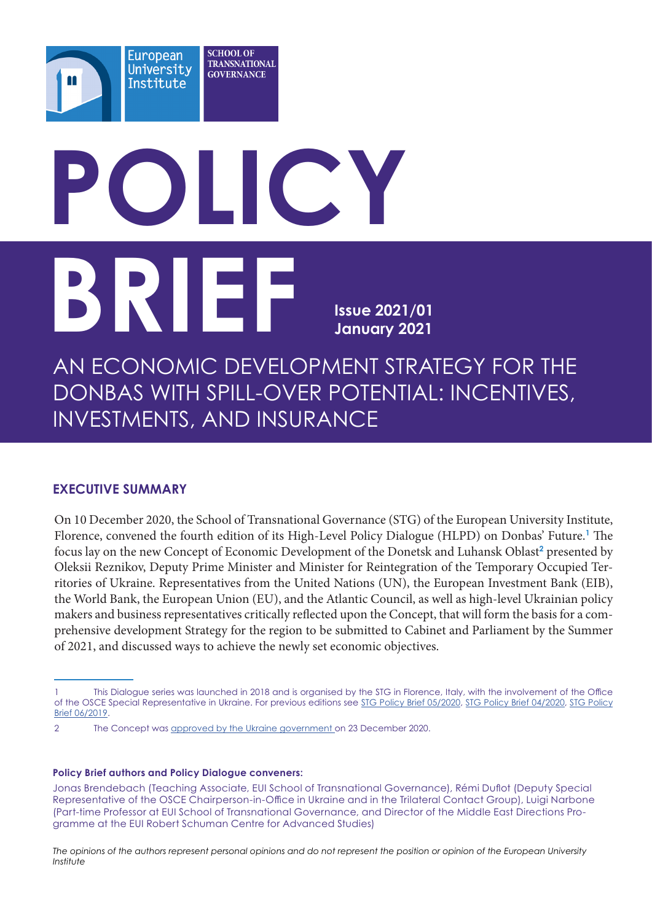# **POLICY BRIEF Issue 2021/01 January 2021**

AN ECONOMIC DEVELOPMENT STRATEGY FOR THE DONBAS WITH SPILL-OVER POTENTIAL: INCENTIVES, INVESTMENTS, AND INSURANCE

## **EXECUTIVE SUMMARY**

On 10 December 2020, the School of Transnational Governance (STG) of the European University Institute, Florence, convened the fourth edition of its High-Level Policy Dialogue (HLPD) on Donbas' Future.**<sup>1</sup>** The focus lay on the new Concept of Economic Development of the Donetsk and Luhansk Oblast<sup>2</sup> presented by Oleksii Reznikov, Deputy Prime Minister and Minister for Reintegration of the Temporary Occupied Territories of Ukraine. Representatives from the United Nations (UN), the European Investment Bank (EIB), the World Bank, the European Union (EU), and the Atlantic Council, as well as high-level Ukrainian policy makers and business representatives critically reflected upon the Concept, that will form the basis for a comprehensive development Strategy for the region to be submitted to Cabinet and Parliament by the Summer of 2021, and discussed ways to achieve the newly set economic objectives.

#### **Policy Brief authors and Policy Dialogue conveners:**

*The opinions of the authors represent personal opinions and do not represent the position or opinion of the European University Institute*

<sup>1</sup> This Dialogue series was launched in 2018 and is organised by the STG in Florence, Italy, with the involvement of the Office of the OSCE Special Representative in Ukraine. For previous editions see [STG Policy Brief 05/2020,](https://cadmus.eui.eu/handle/1814/67860) [STG Policy Brief 04/2020,](https://hdl.handle.net/1814/67859) [STG Policy](https://cadmus.eui.eu/handle/1814/63510)  [Brief 06/2019](https://cadmus.eui.eu/handle/1814/63510).

<sup>2</sup> The Concept was [approved by the Ukraine government o](https://www.kmu.gov.ua/en/news/uryad-shvaliv-koncepciyu-ekonomichnogo-rozvitku-doneckoyi-i-luganskoyi-oblastej)n 23 December 2020.

Jonas Brendebach (Teaching Associate, EUI School of Transnational Governance), Rémi Duflot (Deputy Special Representative of the OSCE Chairperson-in-Office in Ukraine and in the Trilateral Contact Group), Luigi Narbone (Part-time Professor at EUI School of Transnational Governance, and Director of the Middle East Directions Programme at the EUI Robert Schuman Centre for Advanced Studies)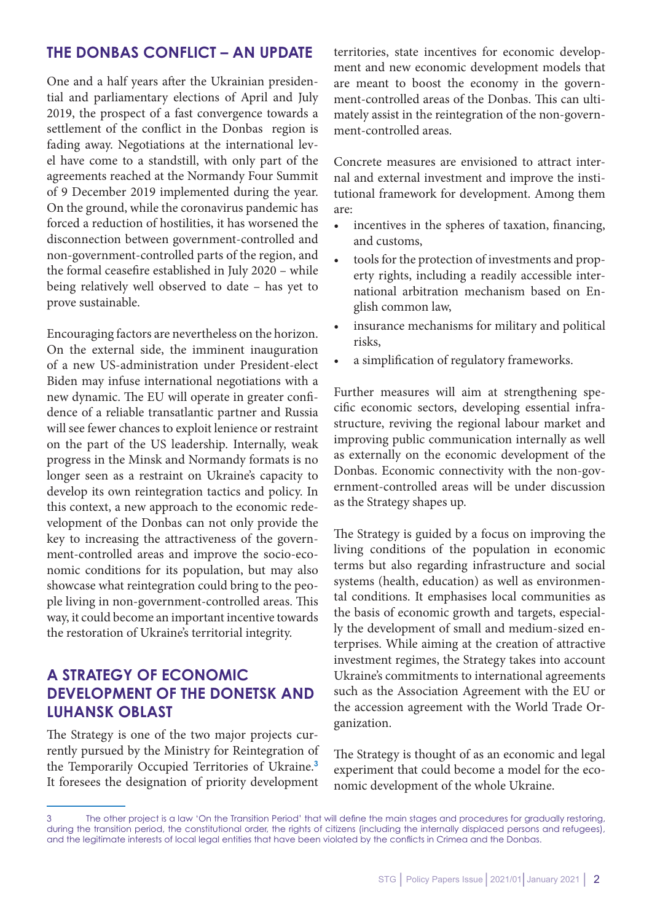## **THE DONBAS CONFLICT – AN UPDATE**

One and a half years after the Ukrainian presidential and parliamentary elections of April and July 2019, the prospect of a fast convergence towards a settlement of the conflict in the Donbas region is fading away. Negotiations at the international level have come to a standstill, with only part of the agreements reached at the Normandy Four Summit of 9 December 2019 implemented during the year. On the ground, while the coronavirus pandemic has forced a reduction of hostilities, it has worsened the disconnection between government-controlled and non-government-controlled parts of the region, and the formal ceasefire established in July 2020 – while being relatively well observed to date – has yet to prove sustainable.

Encouraging factors are nevertheless on the horizon. On the external side, the imminent inauguration of a new US-administration under President-elect Biden may infuse international negotiations with a new dynamic. The EU will operate in greater confidence of a reliable transatlantic partner and Russia will see fewer chances to exploit lenience or restraint on the part of the US leadership. Internally, weak progress in the Minsk and Normandy formats is no longer seen as a restraint on Ukraine's capacity to develop its own reintegration tactics and policy. In this context, a new approach to the economic redevelopment of the Donbas can not only provide the key to increasing the attractiveness of the government-controlled areas and improve the socio-economic conditions for its population, but may also showcase what reintegration could bring to the people living in non-government-controlled areas. This way, it could become an important incentive towards the restoration of Ukraine's territorial integrity.

# **A STRATEGY OF ECONOMIC DEVELOPMENT OF THE DONETSK AND LUHANSK OBLAST**

The Strategy is one of the two major projects currently pursued by the Ministry for Reintegration of the Temporarily Occupied Territories of Ukraine.**<sup>3</sup>** It foresees the designation of priority development

territories, state incentives for economic development and new economic development models that are meant to boost the economy in the government-controlled areas of the Donbas. This can ultimately assist in the reintegration of the non-government-controlled areas.

Concrete measures are envisioned to attract internal and external investment and improve the institutional framework for development. Among them are:

- incentives in the spheres of taxation, financing, and customs,
- tools for the protection of investments and property rights, including a readily accessible international arbitration mechanism based on English common law,
- insurance mechanisms for military and political risks,
- a simplification of regulatory frameworks.

Further measures will aim at strengthening specific economic sectors, developing essential infrastructure, reviving the regional labour market and improving public communication internally as well as externally on the economic development of the Donbas. Economic connectivity with the non-government-controlled areas will be under discussion as the Strategy shapes up.

The Strategy is guided by a focus on improving the living conditions of the population in economic terms but also regarding infrastructure and social systems (health, education) as well as environmental conditions. It emphasises local communities as the basis of economic growth and targets, especially the development of small and medium-sized enterprises. While aiming at the creation of attractive investment regimes, the Strategy takes into account Ukraine's commitments to international agreements such as the Association Agreement with the EU or the accession agreement with the World Trade Organization.

The Strategy is thought of as an economic and legal experiment that could become a model for the economic development of the whole Ukraine.

<sup>3</sup> The other project is a law 'On the Transition Period' that will define the main stages and procedures for gradually restoring, during the transition period, the constitutional order, the rights of citizens (including the internally displaced persons and refugees), and the legitimate interests of local legal entities that have been violated by the conflicts in Crimea and the Donbas.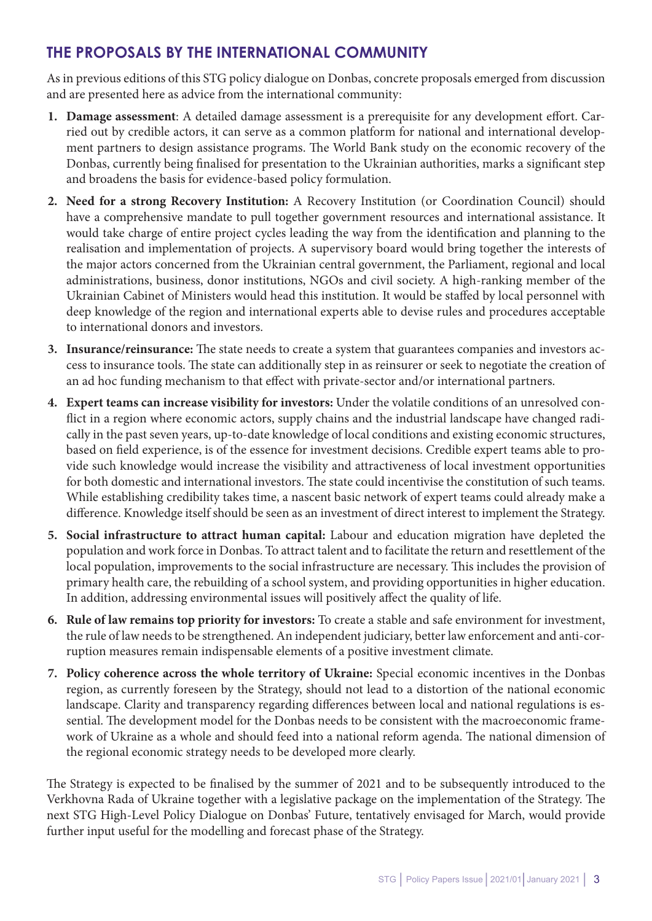# **THE PROPOSALS BY THE INTERNATIONAL COMMUNITY**

As in previous editions of this STG policy dialogue on Donbas, concrete proposals emerged from discussion and are presented here as advice from the international community:

- **1. Damage assessment**: A detailed damage assessment is a prerequisite for any development effort. Carried out by credible actors, it can serve as a common platform for national and international development partners to design assistance programs. The World Bank study on the economic recovery of the Donbas, currently being finalised for presentation to the Ukrainian authorities, marks a significant step and broadens the basis for evidence-based policy formulation.
- **2. Need for a strong Recovery Institution:** A Recovery Institution (or Coordination Council) should have a comprehensive mandate to pull together government resources and international assistance. It would take charge of entire project cycles leading the way from the identification and planning to the realisation and implementation of projects. A supervisory board would bring together the interests of the major actors concerned from the Ukrainian central government, the Parliament, regional and local administrations, business, donor institutions, NGOs and civil society. A high-ranking member of the Ukrainian Cabinet of Ministers would head this institution. It would be staffed by local personnel with deep knowledge of the region and international experts able to devise rules and procedures acceptable to international donors and investors.
- **3. Insurance/reinsurance:** The state needs to create a system that guarantees companies and investors access to insurance tools. The state can additionally step in as reinsurer or seek to negotiate the creation of an ad hoc funding mechanism to that effect with private-sector and/or international partners.
- **4. Expert teams can increase visibility for investors:** Under the volatile conditions of an unresolved conflict in a region where economic actors, supply chains and the industrial landscape have changed radically in the past seven years, up-to-date knowledge of local conditions and existing economic structures, based on field experience, is of the essence for investment decisions. Credible expert teams able to provide such knowledge would increase the visibility and attractiveness of local investment opportunities for both domestic and international investors. The state could incentivise the constitution of such teams. While establishing credibility takes time, a nascent basic network of expert teams could already make a difference. Knowledge itself should be seen as an investment of direct interest to implement the Strategy.
- **5. Social infrastructure to attract human capital:** Labour and education migration have depleted the population and work force in Donbas. To attract talent and to facilitate the return and resettlement of the local population, improvements to the social infrastructure are necessary. This includes the provision of primary health care, the rebuilding of a school system, and providing opportunities in higher education. In addition, addressing environmental issues will positively affect the quality of life.
- **6. Rule of law remains top priority for investors:** To create a stable and safe environment for investment, the rule of law needs to be strengthened. An independent judiciary, better law enforcement and anti-corruption measures remain indispensable elements of a positive investment climate.
- **7. Policy coherence across the whole territory of Ukraine:** Special economic incentives in the Donbas region, as currently foreseen by the Strategy, should not lead to a distortion of the national economic landscape. Clarity and transparency regarding differences between local and national regulations is essential. The development model for the Donbas needs to be consistent with the macroeconomic framework of Ukraine as a whole and should feed into a national reform agenda. The national dimension of the regional economic strategy needs to be developed more clearly.

The Strategy is expected to be finalised by the summer of 2021 and to be subsequently introduced to the Verkhovna Rada of Ukraine together with a legislative package on the implementation of the Strategy. The next STG High-Level Policy Dialogue on Donbas' Future, tentatively envisaged for March, would provide further input useful for the modelling and forecast phase of the Strategy.